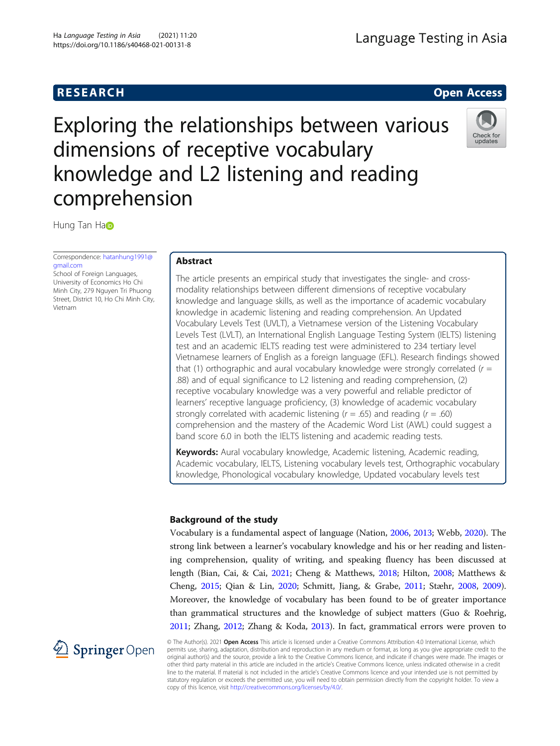## **RESEARCH RESEARCH CONSUMING ACCESS**

# Exploring the relationships between various dimensions of receptive vocabulary knowledge and L2 listening and reading comprehension



Hung T[a](http://orcid.org/0000-0002-5901-7718)n Ha

Correspondence: [hatanhung1991@](mailto:hatanhung1991@gmail.com) [gmail.com](mailto:hatanhung1991@gmail.com)

School of Foreign Languages, University of Economics Ho Chi Minh City, 279 Nguyen Tri Phuong Street, District 10, Ho Chi Minh City, Vietnam

## Abstract

The article presents an empirical study that investigates the single- and crossmodality relationships between different dimensions of receptive vocabulary knowledge and language skills, as well as the importance of academic vocabulary knowledge in academic listening and reading comprehension. An Updated Vocabulary Levels Test (UVLT), a Vietnamese version of the Listening Vocabulary Levels Test (LVLT), an International English Language Testing System (IELTS) listening test and an academic IELTS reading test were administered to 234 tertiary level Vietnamese learners of English as a foreign language (EFL). Research findings showed that (1) orthographic and aural vocabulary knowledge were strongly correlated ( $r =$ .88) and of equal significance to L2 listening and reading comprehension, (2) receptive vocabulary knowledge was a very powerful and reliable predictor of learners' receptive language proficiency, (3) knowledge of academic vocabulary strongly correlated with academic listening ( $r = .65$ ) and reading ( $r = .60$ ) comprehension and the mastery of the Academic Word List (AWL) could suggest a band score 6.0 in both the IELTS listening and academic reading tests.

Keywords: Aural vocabulary knowledge, Academic listening, Academic reading, Academic vocabulary, IELTS, Listening vocabulary levels test, Orthographic vocabulary knowledge, Phonological vocabulary knowledge, Updated vocabulary levels test

## Background of the study

Vocabulary is a fundamental aspect of language (Nation, [2006,](#page-18-0) [2013;](#page-19-0) Webb, [2020](#page-19-0)). The strong link between a learner's vocabulary knowledge and his or her reading and listening comprehension, quality of writing, and speaking fluency has been discussed at length (Bian, Cai, & Cai, [2021](#page-18-0); Cheng & Matthews, [2018](#page-18-0); Hilton, [2008;](#page-18-0) Matthews & Cheng, [2015](#page-18-0); Qian & Lin, [2020;](#page-19-0) Schmitt, Jiang, & Grabe, [2011](#page-19-0); Stæhr, [2008](#page-19-0), [2009](#page-19-0)). Moreover, the knowledge of vocabulary has been found to be of greater importance than grammatical structures and the knowledge of subject matters (Guo & Roehrig, [2011](#page-18-0); Zhang, [2012;](#page-19-0) Zhang & Koda, [2013\)](#page-19-0). In fact, grammatical errors were proven to



© The Author(s). 2021 Open Access This article is licensed under a Creative Commons Attribution 4.0 International License, which permits use, sharing, adaptation, distribution and reproduction in any medium or format, as long as you give appropriate credit to the original author(s) and the source, provide a link to the Creative Commons licence, and indicate if changes were made. The images or other third party material in this article are included in the article's Creative Commons licence, unless indicated otherwise in a credit line to the material. If material is not included in the article's Creative Commons licence and your intended use is not permitted by statutory regulation or exceeds the permitted use, you will need to obtain permission directly from the copyright holder. To view a copy of this licence, visit <http://creativecommons.org/licenses/by/4.0/>.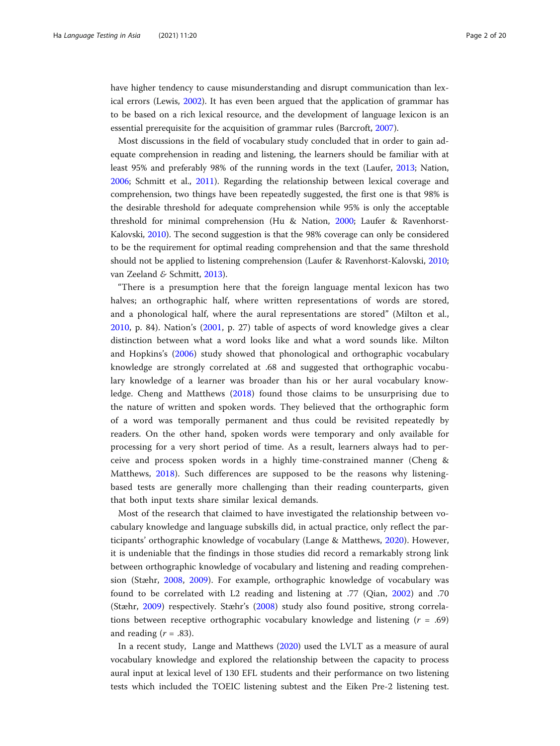have higher tendency to cause misunderstanding and disrupt communication than lexical errors (Lewis, [2002\)](#page-18-0). It has even been argued that the application of grammar has to be based on a rich lexical resource, and the development of language lexicon is an essential prerequisite for the acquisition of grammar rules (Barcroft, [2007\)](#page-18-0).

Most discussions in the field of vocabulary study concluded that in order to gain adequate comprehension in reading and listening, the learners should be familiar with at least 95% and preferably 98% of the running words in the text (Laufer, [2013](#page-18-0); Nation, [2006](#page-18-0); Schmitt et al., [2011](#page-19-0)). Regarding the relationship between lexical coverage and comprehension, two things have been repeatedly suggested, the first one is that 98% is the desirable threshold for adequate comprehension while 95% is only the acceptable threshold for minimal comprehension (Hu & Nation, [2000](#page-18-0); Laufer & Ravenhorst-Kalovski, [2010\)](#page-18-0). The second suggestion is that the 98% coverage can only be considered to be the requirement for optimal reading comprehension and that the same threshold should not be applied to listening comprehension (Laufer & Ravenhorst-Kalovski, [2010](#page-18-0); van Zeeland & Schmitt, [2013\)](#page-19-0).

"There is a presumption here that the foreign language mental lexicon has two halves; an orthographic half, where written representations of words are stored, and a phonological half, where the aural representations are stored" (Milton et al., [2010,](#page-18-0) p. 84). Nation's ([2001](#page-18-0), p. 27) table of aspects of word knowledge gives a clear distinction between what a word looks like and what a word sounds like. Milton and Hopkins's [\(2006](#page-18-0)) study showed that phonological and orthographic vocabulary knowledge are strongly correlated at .68 and suggested that orthographic vocabulary knowledge of a learner was broader than his or her aural vocabulary knowledge. Cheng and Matthews ([2018\)](#page-18-0) found those claims to be unsurprising due to the nature of written and spoken words. They believed that the orthographic form of a word was temporally permanent and thus could be revisited repeatedly by readers. On the other hand, spoken words were temporary and only available for processing for a very short period of time. As a result, learners always had to perceive and process spoken words in a highly time-constrained manner (Cheng & Matthews, [2018\)](#page-18-0). Such differences are supposed to be the reasons why listeningbased tests are generally more challenging than their reading counterparts, given that both input texts share similar lexical demands.

Most of the research that claimed to have investigated the relationship between vocabulary knowledge and language subskills did, in actual practice, only reflect the participants' orthographic knowledge of vocabulary (Lange & Matthews, [2020\)](#page-18-0). However, it is undeniable that the findings in those studies did record a remarkably strong link between orthographic knowledge of vocabulary and listening and reading comprehension (Stæhr, [2008](#page-19-0), [2009](#page-19-0)). For example, orthographic knowledge of vocabulary was found to be correlated with L2 reading and listening at .77 (Qian, [2002](#page-19-0)) and .70 (Stæhr, [2009\)](#page-19-0) respectively. Stæhr's ([2008\)](#page-19-0) study also found positive, strong correlations between receptive orthographic vocabulary knowledge and listening  $(r = .69)$ and reading  $(r = .83)$ .

In a recent study, Lange and Matthews [\(2020](#page-18-0)) used the LVLT as a measure of aural vocabulary knowledge and explored the relationship between the capacity to process aural input at lexical level of 130 EFL students and their performance on two listening tests which included the TOEIC listening subtest and the Eiken Pre-2 listening test.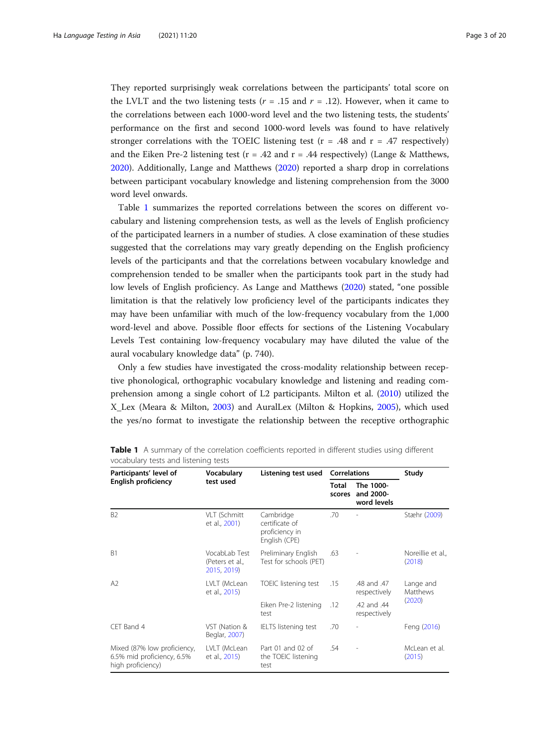They reported surprisingly weak correlations between the participants' total score on the LVLT and the two listening tests ( $r = .15$  and  $r = .12$ ). However, when it came to the correlations between each 1000-word level and the two listening tests, the students' performance on the first and second 1000-word levels was found to have relatively stronger correlations with the TOEIC listening test ( $r = .48$  and  $r = .47$  respectively) and the Eiken Pre-2 listening test ( $r = .42$  and  $r = .44$  respectively) (Lange & Matthews, [2020](#page-18-0)). Additionally, Lange and Matthews ([2020](#page-18-0)) reported a sharp drop in correlations between participant vocabulary knowledge and listening comprehension from the 3000 word level onwards.

Table 1 summarizes the reported correlations between the scores on different vocabulary and listening comprehension tests, as well as the levels of English proficiency of the participated learners in a number of studies. A close examination of these studies suggested that the correlations may vary greatly depending on the English proficiency levels of the participants and that the correlations between vocabulary knowledge and comprehension tended to be smaller when the participants took part in the study had low levels of English proficiency. As Lange and Matthews [\(2020\)](#page-18-0) stated, "one possible limitation is that the relatively low proficiency level of the participants indicates they may have been unfamiliar with much of the low-frequency vocabulary from the 1,000 word-level and above. Possible floor effects for sections of the Listening Vocabulary Levels Test containing low-frequency vocabulary may have diluted the value of the aural vocabulary knowledge data" (p. 740).

Only a few studies have investigated the cross-modality relationship between receptive phonological, orthographic vocabulary knowledge and listening and reading comprehension among a single cohort of L2 participants. Milton et al. [\(2010\)](#page-18-0) utilized the X\_Lex (Meara & Milton, [2003](#page-18-0)) and AuralLex (Milton & Hopkins, [2005](#page-18-0)), which used the yes/no format to investigate the relationship between the receptive orthographic

| Participants' level of                                                         | Vocabulary                                      | Listening test used                                            | <b>Correlations</b>    |                                       | Study                           |  |
|--------------------------------------------------------------------------------|-------------------------------------------------|----------------------------------------------------------------|------------------------|---------------------------------------|---------------------------------|--|
| <b>English proficiency</b>                                                     | test used                                       |                                                                | <b>Total</b><br>scores | The 1000-<br>and 2000-<br>word levels |                                 |  |
| B <sub>2</sub>                                                                 | VLT (Schmitt<br>et al., 2001)                   | Cambridge<br>certificate of<br>proficiency in<br>English (CPE) | .70                    |                                       | Stæhr (2009)                    |  |
| B1                                                                             | VocabLab Test<br>(Peters et al.,<br>2015, 2019) | Preliminary English<br>Test for schools (PET)                  | .63                    |                                       | Noreillie et al.,<br>(2018)     |  |
| A2                                                                             | LVLT (McLean<br>et al., 2015)                   | TOEIC listening test                                           | .15                    | .48 and .47<br>respectively           | Lange and<br>Matthews<br>(2020) |  |
|                                                                                |                                                 | Eiken Pre-2 listening<br>test                                  | .12                    | .42 and .44<br>respectively           |                                 |  |
| CET Band 4                                                                     | VST (Nation &<br>Beglar, 2007)                  | <b>IELTS</b> listening test                                    | .70                    |                                       | Feng (2016)                     |  |
| Mixed (87% low proficiency,<br>6.5% mid proficiency, 6.5%<br>high proficiency) | LVLT (McLean<br>et al., 2015)                   | Part 01 and 02 of<br>the TOEIC listening<br>test               | .54                    |                                       | McLean et al.<br>(2015)         |  |

Table 1 A summary of the correlation coefficients reported in different studies using different vocabulary tests and listening tests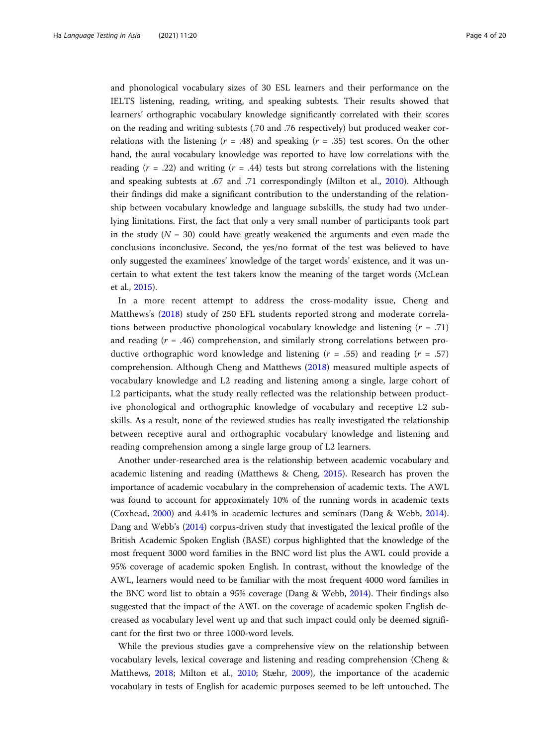and phonological vocabulary sizes of 30 ESL learners and their performance on the IELTS listening, reading, writing, and speaking subtests. Their results showed that learners' orthographic vocabulary knowledge significantly correlated with their scores on the reading and writing subtests (.70 and .76 respectively) but produced weaker correlations with the listening  $(r = .48)$  and speaking  $(r = .35)$  test scores. On the other hand, the aural vocabulary knowledge was reported to have low correlations with the reading  $(r = .22)$  and writing  $(r = .44)$  tests but strong correlations with the listening and speaking subtests at .67 and .71 correspondingly (Milton et al., [2010\)](#page-18-0). Although their findings did make a significant contribution to the understanding of the relationship between vocabulary knowledge and language subskills, the study had two underlying limitations. First, the fact that only a very small number of participants took part in the study ( $N = 30$ ) could have greatly weakened the arguments and even made the conclusions inconclusive. Second, the yes/no format of the test was believed to have only suggested the examinees' knowledge of the target words' existence, and it was uncertain to what extent the test takers know the meaning of the target words (McLean et al., [2015\)](#page-18-0).

In a more recent attempt to address the cross-modality issue, Cheng and Matthews's [\(2018](#page-18-0)) study of 250 EFL students reported strong and moderate correlations between productive phonological vocabulary knowledge and listening  $(r = .71)$ and reading  $(r = .46)$  comprehension, and similarly strong correlations between productive orthographic word knowledge and listening  $(r = .55)$  and reading  $(r = .57)$ comprehension. Although Cheng and Matthews [\(2018](#page-18-0)) measured multiple aspects of vocabulary knowledge and L2 reading and listening among a single, large cohort of L2 participants, what the study really reflected was the relationship between productive phonological and orthographic knowledge of vocabulary and receptive L2 subskills. As a result, none of the reviewed studies has really investigated the relationship between receptive aural and orthographic vocabulary knowledge and listening and reading comprehension among a single large group of L2 learners.

Another under-researched area is the relationship between academic vocabulary and academic listening and reading (Matthews & Cheng, [2015](#page-18-0)). Research has proven the importance of academic vocabulary in the comprehension of academic texts. The AWL was found to account for approximately 10% of the running words in academic texts (Coxhead, [2000](#page-18-0)) and 4.41% in academic lectures and seminars (Dang & Webb, [2014](#page-18-0)). Dang and Webb's [\(2014\)](#page-18-0) corpus-driven study that investigated the lexical profile of the British Academic Spoken English (BASE) corpus highlighted that the knowledge of the most frequent 3000 word families in the BNC word list plus the AWL could provide a 95% coverage of academic spoken English. In contrast, without the knowledge of the AWL, learners would need to be familiar with the most frequent 4000 word families in the BNC word list to obtain a 95% coverage (Dang & Webb, [2014\)](#page-18-0). Their findings also suggested that the impact of the AWL on the coverage of academic spoken English decreased as vocabulary level went up and that such impact could only be deemed significant for the first two or three 1000-word levels.

While the previous studies gave a comprehensive view on the relationship between vocabulary levels, lexical coverage and listening and reading comprehension (Cheng & Matthews, [2018](#page-18-0); Milton et al., [2010](#page-18-0); Stæhr, [2009\)](#page-19-0), the importance of the academic vocabulary in tests of English for academic purposes seemed to be left untouched. The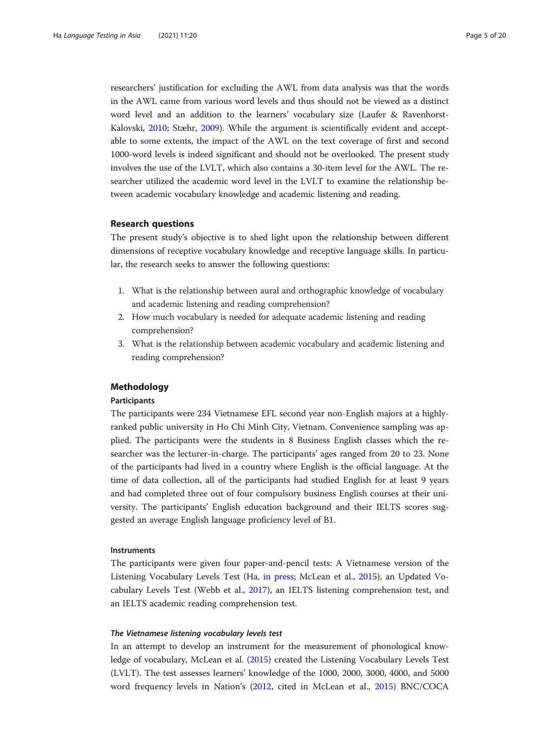researchers' justification for excluding the AWL from data analysis was that the words in the AWL came from various word levels and thus should not be viewed as a distinct word level and an addition to the learners' vocabulary size (Laufer & Ravenhorst-Kalovski, [2010;](#page-18-0) Stæhr, [2009](#page-19-0)). While the argument is scientifically evident and acceptable to some extents, the impact of the AWL on the text coverage of first and second 1000-word levels is indeed significant and should not be overlooked. The present study involves the use of the LVLT, which also contains a 30-item level for the AWL. The researcher utilized the academic word level in the LVLT to examine the relationship between academic vocabulary knowledge and academic listening and reading.

## Research questions

The present study's objective is to shed light upon the relationship between different dimensions of receptive vocabulary knowledge and receptive language skills. In particular, the research seeks to answer the following questions:

- 1. What is the relationship between aural and orthographic knowledge of vocabulary and academic listening and reading comprehension?
- 2. How much vocabulary is needed for adequate academic listening and reading comprehension?
- 3. What is the relationship between academic vocabulary and academic listening and reading comprehension?

## Methodology

## Participants

The participants were 234 Vietnamese EFL second year non-English majors at a highlyranked public university in Ho Chi Minh City, Vietnam. Convenience sampling was applied. The participants were the students in 8 Business English classes which the researcher was the lecturer-in-charge. The participants' ages ranged from 20 to 23. None of the participants had lived in a country where English is the official language. At the time of data collection, all of the participants had studied English for at least 9 years and had completed three out of four compulsory business English courses at their university. The participants' English education background and their IELTS scores suggested an average English language proficiency level of B1.

## Instruments

The participants were given four paper-and-pencil tests: A Vietnamese version of the Listening Vocabulary Levels Test (Ha, [in press;](#page-18-0) McLean et al., [2015](#page-18-0)), an Updated Vocabulary Levels Test (Webb et al., [2017](#page-19-0)), an IELTS listening comprehension test, and an IELTS academic reading comprehension test.

## The Vietnamese listening vocabulary levels test

In an attempt to develop an instrument for the measurement of phonological knowledge of vocabulary, McLean et al. ([2015](#page-18-0)) created the Listening Vocabulary Levels Test (LVLT). The test assesses learners' knowledge of the 1000, 2000, 3000, 4000, and 5000 word frequency levels in Nation's [\(2012,](#page-19-0) cited in McLean et al., [2015](#page-18-0)) BNC/COCA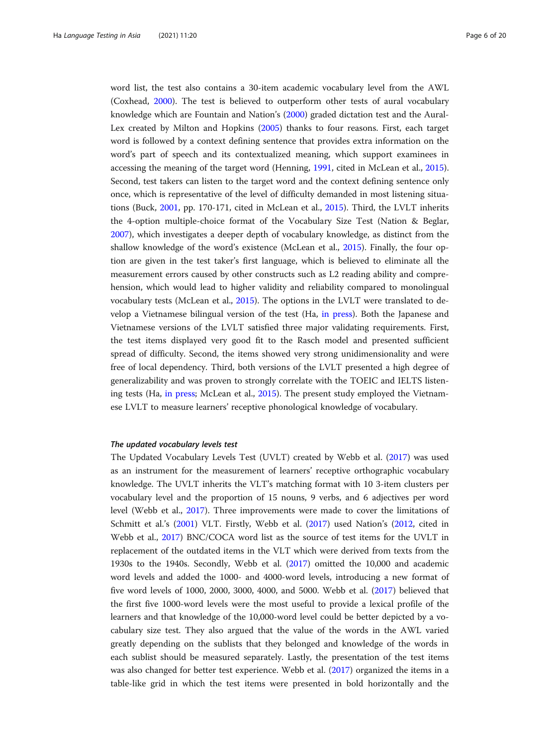word list, the test also contains a 30-item academic vocabulary level from the AWL (Coxhead, [2000](#page-18-0)). The test is believed to outperform other tests of aural vocabulary knowledge which are Fountain and Nation's [\(2000](#page-18-0)) graded dictation test and the Aural-Lex created by Milton and Hopkins ([2005](#page-18-0)) thanks to four reasons. First, each target word is followed by a context defining sentence that provides extra information on the word's part of speech and its contextualized meaning, which support examinees in accessing the meaning of the target word (Henning, [1991,](#page-18-0) cited in McLean et al., [2015](#page-18-0)). Second, test takers can listen to the target word and the context defining sentence only once, which is representative of the level of difficulty demanded in most listening situations (Buck, [2001,](#page-18-0) pp. 170-171, cited in McLean et al., [2015](#page-18-0)). Third, the LVLT inherits the 4-option multiple-choice format of the Vocabulary Size Test (Nation & Beglar, [2007](#page-19-0)), which investigates a deeper depth of vocabulary knowledge, as distinct from the shallow knowledge of the word's existence (McLean et al., [2015\)](#page-18-0). Finally, the four option are given in the test taker's first language, which is believed to eliminate all the measurement errors caused by other constructs such as L2 reading ability and comprehension, which would lead to higher validity and reliability compared to monolingual vocabulary tests (McLean et al., [2015\)](#page-18-0). The options in the LVLT were translated to develop a Vietnamese bilingual version of the test (Ha, [in press\)](#page-18-0). Both the Japanese and Vietnamese versions of the LVLT satisfied three major validating requirements. First, the test items displayed very good fit to the Rasch model and presented sufficient spread of difficulty. Second, the items showed very strong unidimensionality and were free of local dependency. Third, both versions of the LVLT presented a high degree of generalizability and was proven to strongly correlate with the TOEIC and IELTS listening tests (Ha, [in press](#page-18-0); McLean et al., [2015](#page-18-0)). The present study employed the Vietnamese LVLT to measure learners' receptive phonological knowledge of vocabulary.

## The updated vocabulary levels test

The Updated Vocabulary Levels Test (UVLT) created by Webb et al. ([2017](#page-19-0)) was used as an instrument for the measurement of learners' receptive orthographic vocabulary knowledge. The UVLT inherits the VLT's matching format with 10 3-item clusters per vocabulary level and the proportion of 15 nouns, 9 verbs, and 6 adjectives per word level (Webb et al., [2017\)](#page-19-0). Three improvements were made to cover the limitations of Schmitt et al.'s ([2001](#page-19-0)) VLT. Firstly, Webb et al. ([2017](#page-19-0)) used Nation's ([2012](#page-19-0), cited in Webb et al., [2017\)](#page-19-0) BNC/COCA word list as the source of test items for the UVLT in replacement of the outdated items in the VLT which were derived from texts from the 1930s to the 1940s. Secondly, Webb et al. ([2017](#page-19-0)) omitted the 10,000 and academic word levels and added the 1000- and 4000-word levels, introducing a new format of five word levels of 1000, 2000, 3000, 4000, and 5000. Webb et al. [\(2017](#page-19-0)) believed that the first five 1000-word levels were the most useful to provide a lexical profile of the learners and that knowledge of the 10,000-word level could be better depicted by a vocabulary size test. They also argued that the value of the words in the AWL varied greatly depending on the sublists that they belonged and knowledge of the words in each sublist should be measured separately. Lastly, the presentation of the test items was also changed for better test experience. Webb et al. ([2017](#page-19-0)) organized the items in a table-like grid in which the test items were presented in bold horizontally and the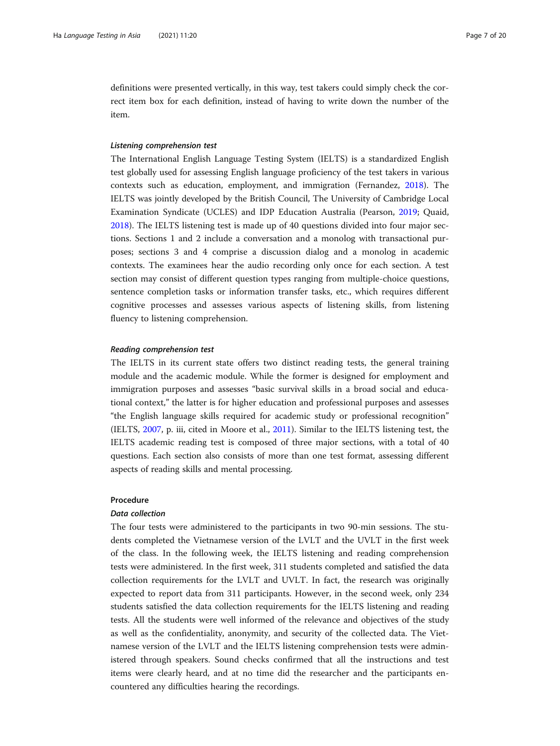definitions were presented vertically, in this way, test takers could simply check the correct item box for each definition, instead of having to write down the number of the item.

## Listening comprehension test

The International English Language Testing System (IELTS) is a standardized English test globally used for assessing English language proficiency of the test takers in various contexts such as education, employment, and immigration (Fernandez, [2018\)](#page-18-0). The IELTS was jointly developed by the British Council, The University of Cambridge Local Examination Syndicate (UCLES) and IDP Education Australia (Pearson, [2019;](#page-19-0) Quaid, [2018](#page-19-0)). The IELTS listening test is made up of 40 questions divided into four major sections. Sections 1 and 2 include a conversation and a monolog with transactional purposes; sections 3 and 4 comprise a discussion dialog and a monolog in academic contexts. The examinees hear the audio recording only once for each section. A test section may consist of different question types ranging from multiple-choice questions, sentence completion tasks or information transfer tasks, etc., which requires different cognitive processes and assesses various aspects of listening skills, from listening fluency to listening comprehension.

## Reading comprehension test

The IELTS in its current state offers two distinct reading tests, the general training module and the academic module. While the former is designed for employment and immigration purposes and assesses "basic survival skills in a broad social and educational context," the latter is for higher education and professional purposes and assesses "the English language skills required for academic study or professional recognition" (IELTS, [2007,](#page-18-0) p. iii, cited in Moore et al., [2011\)](#page-18-0). Similar to the IELTS listening test, the IELTS academic reading test is composed of three major sections, with a total of 40 questions. Each section also consists of more than one test format, assessing different aspects of reading skills and mental processing.

## Procedure

## Data collection

The four tests were administered to the participants in two 90-min sessions. The students completed the Vietnamese version of the LVLT and the UVLT in the first week of the class. In the following week, the IELTS listening and reading comprehension tests were administered. In the first week, 311 students completed and satisfied the data collection requirements for the LVLT and UVLT. In fact, the research was originally expected to report data from 311 participants. However, in the second week, only 234 students satisfied the data collection requirements for the IELTS listening and reading tests. All the students were well informed of the relevance and objectives of the study as well as the confidentiality, anonymity, and security of the collected data. The Vietnamese version of the LVLT and the IELTS listening comprehension tests were administered through speakers. Sound checks confirmed that all the instructions and test items were clearly heard, and at no time did the researcher and the participants encountered any difficulties hearing the recordings.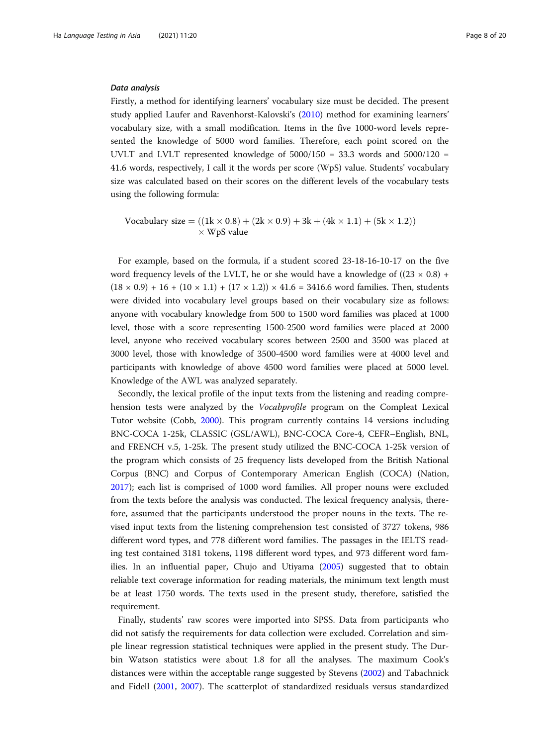## Data analysis

Firstly, a method for identifying learners' vocabulary size must be decided. The present study applied Laufer and Ravenhorst-Kalovski's ([2010](#page-18-0)) method for examining learners' vocabulary size, with a small modification. Items in the five 1000-word levels represented the knowledge of 5000 word families. Therefore, each point scored on the UVLT and LVLT represented knowledge of  $5000/150 = 33.3$  words and  $5000/120 =$ 41.6 words, respectively, I call it the words per score (WpS) value. Students' vocabulary size was calculated based on their scores on the different levels of the vocabulary tests using the following formula:

Vocabulary size = 
$$
((1k \times 0.8) + (2k \times 0.9) + 3k + (4k \times 1.1) + (5k \times 1.2))
$$
  
× WpS value

For example, based on the formula, if a student scored 23-18-16-10-17 on the five word frequency levels of the LVLT, he or she would have a knowledge of  $((23 \times 0.8) +$  $(18 \times 0.9) + 16 + (10 \times 1.1) + (17 \times 1.2)) \times 41.6 = 3416.6$  word families. Then, students were divided into vocabulary level groups based on their vocabulary size as follows: anyone with vocabulary knowledge from 500 to 1500 word families was placed at 1000 level, those with a score representing 1500-2500 word families were placed at 2000 level, anyone who received vocabulary scores between 2500 and 3500 was placed at 3000 level, those with knowledge of 3500-4500 word families were at 4000 level and participants with knowledge of above 4500 word families were placed at 5000 level. Knowledge of the AWL was analyzed separately.

Secondly, the lexical profile of the input texts from the listening and reading comprehension tests were analyzed by the Vocabprofile program on the Compleat Lexical Tutor website (Cobb, [2000](#page-18-0)). This program currently contains 14 versions including BNC-COCA 1-25k, CLASSIC (GSL/AWL), BNC-COCA Core-4, CEFR–English, BNL, and FRENCH v.5, 1-25k. The present study utilized the BNC-COCA 1-25k version of the program which consists of 25 frequency lists developed from the British National Corpus (BNC) and Corpus of Contemporary American English (COCA) (Nation, [2017](#page-19-0)); each list is comprised of 1000 word families. All proper nouns were excluded from the texts before the analysis was conducted. The lexical frequency analysis, therefore, assumed that the participants understood the proper nouns in the texts. The revised input texts from the listening comprehension test consisted of 3727 tokens, 986 different word types, and 778 different word families. The passages in the IELTS reading test contained 3181 tokens, 1198 different word types, and 973 different word families. In an influential paper, Chujo and Utiyama ([2005](#page-18-0)) suggested that to obtain reliable text coverage information for reading materials, the minimum text length must be at least 1750 words. The texts used in the present study, therefore, satisfied the requirement.

Finally, students' raw scores were imported into SPSS. Data from participants who did not satisfy the requirements for data collection were excluded. Correlation and simple linear regression statistical techniques were applied in the present study. The Durbin Watson statistics were about 1.8 for all the analyses. The maximum Cook's distances were within the acceptable range suggested by Stevens ([2002](#page-19-0)) and Tabachnick and Fidell [\(2001](#page-19-0), [2007\)](#page-19-0). The scatterplot of standardized residuals versus standardized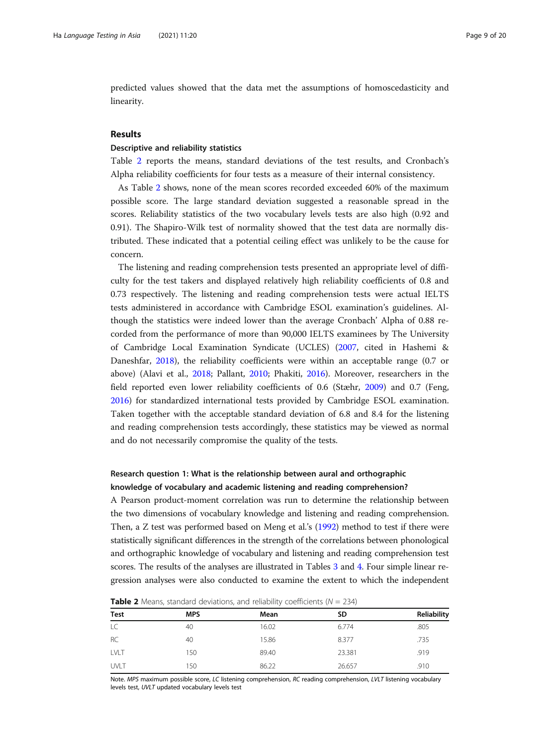predicted values showed that the data met the assumptions of homoscedasticity and linearity.

## Results

## Descriptive and reliability statistics

Table 2 reports the means, standard deviations of the test results, and Cronbach's Alpha reliability coefficients for four tests as a measure of their internal consistency.

As Table 2 shows, none of the mean scores recorded exceeded 60% of the maximum possible score. The large standard deviation suggested a reasonable spread in the scores. Reliability statistics of the two vocabulary levels tests are also high (0.92 and 0.91). The Shapiro-Wilk test of normality showed that the test data are normally distributed. These indicated that a potential ceiling effect was unlikely to be the cause for concern.

The listening and reading comprehension tests presented an appropriate level of difficulty for the test takers and displayed relatively high reliability coefficients of 0.8 and 0.73 respectively. The listening and reading comprehension tests were actual IELTS tests administered in accordance with Cambridge ESOL examination's guidelines. Although the statistics were indeed lower than the average Cronbach' Alpha of 0.88 recorded from the performance of more than 90,000 IELTS examinees by The University of Cambridge Local Examination Syndicate (UCLES) ([2007](#page-19-0), cited in Hashemi & Daneshfar, [2018](#page-18-0)), the reliability coefficients were within an acceptable range (0.7 or above) (Alavi et al., [2018](#page-18-0); Pallant, [2010;](#page-19-0) Phakiti, [2016\)](#page-19-0). Moreover, researchers in the field reported even lower reliability coefficients of 0.6 (Stæhr, [2009\)](#page-19-0) and 0.7 (Feng, [2016](#page-18-0)) for standardized international tests provided by Cambridge ESOL examination. Taken together with the acceptable standard deviation of 6.8 and 8.4 for the listening and reading comprehension tests accordingly, these statistics may be viewed as normal and do not necessarily compromise the quality of the tests.

## Research question 1: What is the relationship between aural and orthographic knowledge of vocabulary and academic listening and reading comprehension?

A Pearson product-moment correlation was run to determine the relationship between the two dimensions of vocabulary knowledge and listening and reading comprehension. Then, a Z test was performed based on Meng et al.'s [\(1992\)](#page-18-0) method to test if there were statistically significant differences in the strength of the correlations between phonological and orthographic knowledge of vocabulary and listening and reading comprehension test scores. The results of the analyses are illustrated in Tables [3](#page-9-0) and [4.](#page-9-0) Four simple linear regression analyses were also conducted to examine the extent to which the independent

| <b>TWATE</b> THE INTEGRITY, Startbard activities is, and remaining coefficiently $y = 25$ T |  |  |  |  |  |
|---------------------------------------------------------------------------------------------|--|--|--|--|--|
| Reliability                                                                                 |  |  |  |  |  |
| .805                                                                                        |  |  |  |  |  |
| .735                                                                                        |  |  |  |  |  |
| .919                                                                                        |  |  |  |  |  |
| .910                                                                                        |  |  |  |  |  |
|                                                                                             |  |  |  |  |  |

**Table 2** Means, standard deviations, and reliability coefficients  $(N - 234)$ 

Note. MPS maximum possible score, LC listening comprehension, RC reading comprehension, LVLT listening vocabulary levels test, UVLT updated vocabulary levels test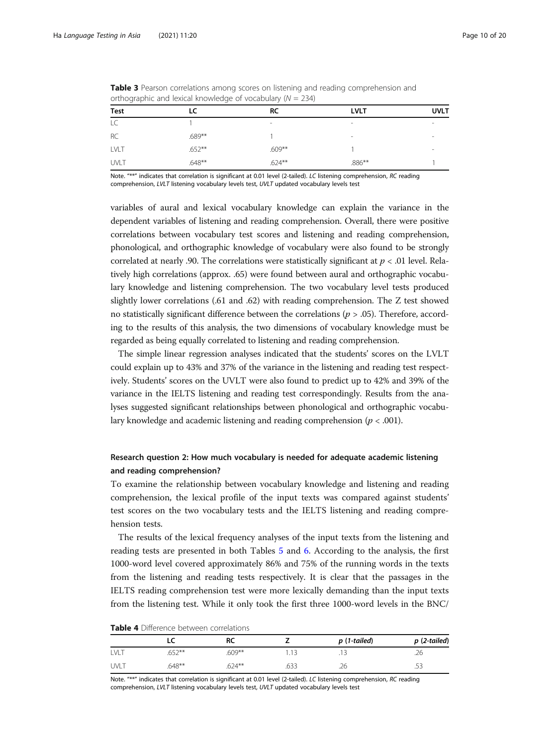| _____       | $\sim$    |           |             |             |
|-------------|-----------|-----------|-------------|-------------|
| <b>Test</b> | LC        | <b>RC</b> | <b>LVLT</b> | <b>UVLT</b> |
| LC          |           | $\,$      |             | $\sim$      |
| RC          | $.689**$  |           | $\sim$      |             |
| LVLT        | $.652***$ | $.609**$  |             |             |
| UVLT        | $.648**$  | $.624***$ | $.886***$   |             |

<span id="page-9-0"></span>Table 3 Pearson correlations among scores on listening and reading comprehension and orthographic and lexical knowledge of vocabulary ( $N = 234$ )

Note. "\*\*" indicates that correlation is significant at 0.01 level (2-tailed). LC listening comprehension, RC reading comprehension, LVLT listening vocabulary levels test, UVLT updated vocabulary levels test

variables of aural and lexical vocabulary knowledge can explain the variance in the dependent variables of listening and reading comprehension. Overall, there were positive correlations between vocabulary test scores and listening and reading comprehension, phonological, and orthographic knowledge of vocabulary were also found to be strongly correlated at nearly .90. The correlations were statistically significant at  $p < .01$  level. Relatively high correlations (approx. .65) were found between aural and orthographic vocabulary knowledge and listening comprehension. The two vocabulary level tests produced slightly lower correlations (.61 and .62) with reading comprehension. The Z test showed no statistically significant difference between the correlations ( $p > .05$ ). Therefore, according to the results of this analysis, the two dimensions of vocabulary knowledge must be regarded as being equally correlated to listening and reading comprehension.

The simple linear regression analyses indicated that the students' scores on the LVLT could explain up to 43% and 37% of the variance in the listening and reading test respectively. Students' scores on the UVLT were also found to predict up to 42% and 39% of the variance in the IELTS listening and reading test correspondingly. Results from the analyses suggested significant relationships between phonological and orthographic vocabulary knowledge and academic listening and reading comprehension ( $p < .001$ ).

## Research question 2: How much vocabulary is needed for adequate academic listening and reading comprehension?

To examine the relationship between vocabulary knowledge and listening and reading comprehension, the lexical profile of the input texts was compared against students' test scores on the two vocabulary tests and the IELTS listening and reading comprehension tests.

The results of the lexical frequency analyses of the input texts from the listening and reading tests are presented in both Tables [5](#page-10-0) and [6](#page-10-0). According to the analysis, the first 1000-word level covered approximately 86% and 75% of the running words in the texts from the listening and reading tests respectively. It is clear that the passages in the IELTS reading comprehension test were more lexically demanding than the input texts from the listening test. While it only took the first three 1000-word levels in the BNC/

| <b>Table 4</b> Difference between correlations |
|------------------------------------------------|
|------------------------------------------------|

|      |          | RC        |      | p (1-tailed) | $p(2-tailed)$ |
|------|----------|-----------|------|--------------|---------------|
| LVLT | 652**    | $.609***$ | 1.13 |              | .26           |
| UVLT | $.648**$ | $.624***$ | .633 | .26          | .53           |

Note. "\*\*" indicates that correlation is significant at 0.01 level (2-tailed). LC listening comprehension, RC reading comprehension, LVLT listening vocabulary levels test, UVLT updated vocabulary levels test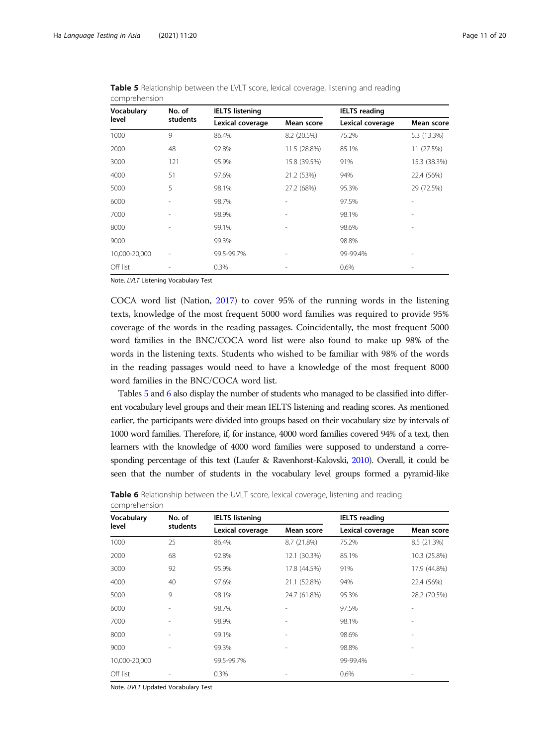| Vocabulary    | No. of   | <b>IELTS listening</b> |              | <b>IELTS</b> reading |              |  |
|---------------|----------|------------------------|--------------|----------------------|--------------|--|
| level         | students | Lexical coverage       | Mean score   | Lexical coverage     | Mean score   |  |
| 1000          | 9        | 86.4%                  | 8.2 (20.5%)  | 75.2%                | 5.3 (13.3%)  |  |
| 2000          | 48       | 92.8%                  | 11.5 (28.8%) | 85.1%                | 11 (27.5%)   |  |
| 3000          | 121      | 95.9%                  | 15.8 (39.5%) | 91%                  | 15.3 (38.3%) |  |
| 4000          | 51       | 97.6%                  | 21.2 (53%)   | 94%                  | 22.4 (56%)   |  |
| 5000          | 5        | 98.1%                  | 27.2 (68%)   | 95.3%                | 29 (72.5%)   |  |
| 6000          |          | 98.7%                  |              | 97.5%                |              |  |
| 7000          |          | 98.9%                  |              | 98.1%                |              |  |
| 8000          |          | 99.1%                  |              | 98.6%                |              |  |
| 9000          |          | 99.3%                  |              | 98.8%                |              |  |
| 10,000-20,000 | ÷,       | 99.5-99.7%             |              | 99-99.4%             |              |  |
| Off list      | ۰        | 0.3%                   |              | 0.6%                 |              |  |

<span id="page-10-0"></span>Table 5 Relationship between the LVLT score, lexical coverage, listening and reading comprehension

Note. LVLT Listening Vocabulary Test

COCA word list (Nation, [2017](#page-19-0)) to cover 95% of the running words in the listening texts, knowledge of the most frequent 5000 word families was required to provide 95% coverage of the words in the reading passages. Coincidentally, the most frequent 5000 word families in the BNC/COCA word list were also found to make up 98% of the words in the listening texts. Students who wished to be familiar with 98% of the words in the reading passages would need to have a knowledge of the most frequent 8000 word families in the BNC/COCA word list.

Tables 5 and 6 also display the number of students who managed to be classified into different vocabulary level groups and their mean IELTS listening and reading scores. As mentioned earlier, the participants were divided into groups based on their vocabulary size by intervals of 1000 word families. Therefore, if, for instance, 4000 word families covered 94% of a text, then learners with the knowledge of 4000 word families were supposed to understand a corresponding percentage of this text (Laufer & Ravenhorst-Kalovski, [2010\)](#page-18-0). Overall, it could be seen that the number of students in the vocabulary level groups formed a pyramid-like

| Vocabulary    | No. of   | <b>IELTS listening</b> |              | <b>IELTS</b> reading |              |
|---------------|----------|------------------------|--------------|----------------------|--------------|
| level         | students | Lexical coverage       | Mean score   | Lexical coverage     | Mean score   |
| 1000          | 25       | 86.4%                  | 8.7 (21.8%)  | 75.2%                | 8.5 (21.3%)  |
| 2000          | 68       | 92.8%                  | 12.1 (30.3%) | 85.1%                | 10.3 (25.8%) |
| 3000          | 92       | 95.9%                  | 17.8 (44.5%) | 91%                  | 17.9 (44.8%) |
| 4000          | 40       | 97.6%                  | 21.1 (52.8%) | 94%                  | 22.4 (56%)   |
| 5000          | 9        | 98.1%                  | 24.7 (61.8%) | 95.3%                | 28.2 (70.5%) |
| 6000          |          | 98.7%                  |              | 97.5%                |              |
| 7000          |          | 98.9%                  |              | 98.1%                |              |
| 8000          |          | 99.1%                  |              | 98.6%                |              |
| 9000          | L.       | 99.3%                  |              | 98.8%                |              |
| 10,000-20,000 |          | 99.5-99.7%             |              | 99-99.4%             |              |
| Off list      |          | 0.3%                   |              | 0.6%                 |              |

**Table 6** Relationship between the UVLT score, lexical coverage, listening and reading comprehension

Note. UVLT Updated Vocabulary Test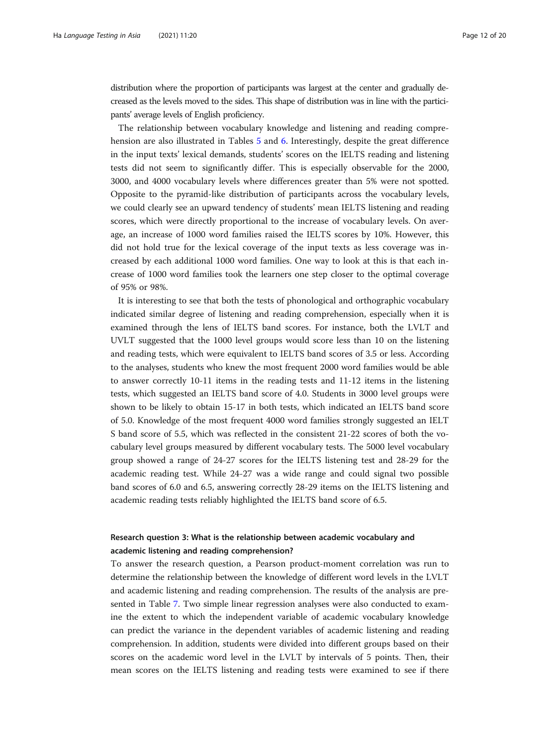distribution where the proportion of participants was largest at the center and gradually decreased as the levels moved to the sides. This shape of distribution was in line with the participants' average levels of English proficiency.

The relationship between vocabulary knowledge and listening and reading comprehension are also illustrated in Tables [5](#page-10-0) and [6](#page-10-0). Interestingly, despite the great difference in the input texts' lexical demands, students' scores on the IELTS reading and listening tests did not seem to significantly differ. This is especially observable for the 2000, 3000, and 4000 vocabulary levels where differences greater than 5% were not spotted. Opposite to the pyramid-like distribution of participants across the vocabulary levels, we could clearly see an upward tendency of students' mean IELTS listening and reading scores, which were directly proportional to the increase of vocabulary levels. On average, an increase of 1000 word families raised the IELTS scores by 10%. However, this did not hold true for the lexical coverage of the input texts as less coverage was increased by each additional 1000 word families. One way to look at this is that each increase of 1000 word families took the learners one step closer to the optimal coverage of 95% or 98%.

It is interesting to see that both the tests of phonological and orthographic vocabulary indicated similar degree of listening and reading comprehension, especially when it is examined through the lens of IELTS band scores. For instance, both the LVLT and UVLT suggested that the 1000 level groups would score less than 10 on the listening and reading tests, which were equivalent to IELTS band scores of 3.5 or less. According to the analyses, students who knew the most frequent 2000 word families would be able to answer correctly 10-11 items in the reading tests and 11-12 items in the listening tests, which suggested an IELTS band score of 4.0. Students in 3000 level groups were shown to be likely to obtain 15-17 in both tests, which indicated an IELTS band score of 5.0. Knowledge of the most frequent 4000 word families strongly suggested an IELT S band score of 5.5, which was reflected in the consistent 21-22 scores of both the vocabulary level groups measured by different vocabulary tests. The 5000 level vocabulary group showed a range of 24-27 scores for the IELTS listening test and 28-29 for the academic reading test. While 24-27 was a wide range and could signal two possible band scores of 6.0 and 6.5, answering correctly 28-29 items on the IELTS listening and academic reading tests reliably highlighted the IELTS band score of 6.5.

## Research question 3: What is the relationship between academic vocabulary and academic listening and reading comprehension?

To answer the research question, a Pearson product-moment correlation was run to determine the relationship between the knowledge of different word levels in the LVLT and academic listening and reading comprehension. The results of the analysis are presented in Table [7](#page-12-0). Two simple linear regression analyses were also conducted to examine the extent to which the independent variable of academic vocabulary knowledge can predict the variance in the dependent variables of academic listening and reading comprehension. In addition, students were divided into different groups based on their scores on the academic word level in the LVLT by intervals of 5 points. Then, their mean scores on the IELTS listening and reading tests were examined to see if there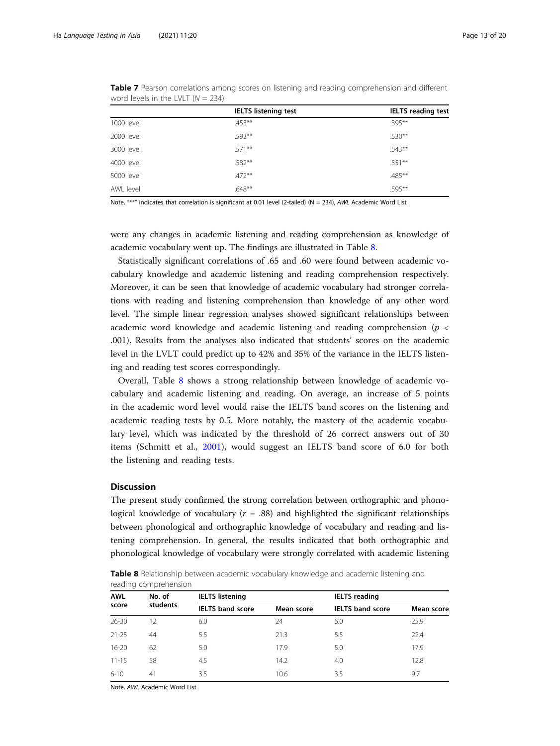|            | <b>IELTS listening test</b> | <b>IELTS</b> reading test |
|------------|-----------------------------|---------------------------|
| 1000 level | $455***$                    | $.395***$                 |
| 2000 level | .593**                      | $.530***$                 |
| 3000 level | $.571***$                   | $.543**$                  |
| 4000 level | .582**                      | $.551***$                 |
| 5000 level | $.472***$                   | $.485***$                 |
| AWL level  | $.648**$                    | .595**                    |

<span id="page-12-0"></span>Table 7 Pearson correlations among scores on listening and reading comprehension and different word levels in the LVLT  $(N = 234)$ 

Note. "\*\*" indicates that correlation is significant at 0.01 level (2-tailed) (N = 234), AWL Academic Word List

were any changes in academic listening and reading comprehension as knowledge of academic vocabulary went up. The findings are illustrated in Table 8.

Statistically significant correlations of .65 and .60 were found between academic vocabulary knowledge and academic listening and reading comprehension respectively. Moreover, it can be seen that knowledge of academic vocabulary had stronger correlations with reading and listening comprehension than knowledge of any other word level. The simple linear regression analyses showed significant relationships between academic word knowledge and academic listening and reading comprehension ( $p <$ .001). Results from the analyses also indicated that students' scores on the academic level in the LVLT could predict up to 42% and 35% of the variance in the IELTS listening and reading test scores correspondingly.

Overall, Table 8 shows a strong relationship between knowledge of academic vocabulary and academic listening and reading. On average, an increase of 5 points in the academic word level would raise the IELTS band scores on the listening and academic reading tests by 0.5. More notably, the mastery of the academic vocabulary level, which was indicated by the threshold of 26 correct answers out of 30 items (Schmitt et al., [2001\)](#page-19-0), would suggest an IELTS band score of 6.0 for both the listening and reading tests.

## Discussion

The present study confirmed the strong correlation between orthographic and phonological knowledge of vocabulary ( $r = .88$ ) and highlighted the significant relationships between phonological and orthographic knowledge of vocabulary and reading and listening comprehension. In general, the results indicated that both orthographic and phonological knowledge of vocabulary were strongly correlated with academic listening

**Table 8** Relationship between academic vocabulary knowledge and academic listening and reading comprehension

| <b>AWL</b><br>score | No. of   | <b>IELTS listening</b>  |            | <b>IELTS</b> reading    |            |  |
|---------------------|----------|-------------------------|------------|-------------------------|------------|--|
|                     | students | <b>IELTS</b> band score | Mean score | <b>IELTS</b> band score | Mean score |  |
| $26 - 30$           | 12       | 6.0                     | 24         | 6.0                     | 25.9       |  |
| $21 - 25$           | 44       | 5.5                     | 21.3       | 5.5                     | 22.4       |  |
| $16 - 20$           | 62       | 5.0                     | 17.9       | 5.0                     | 17.9       |  |
| $11 - 15$           | 58       | 4.5                     | 14.2       | 4.0                     | 12.8       |  |
| $6 - 10$            | 41       | 3.5                     | 10.6       | 3.5                     | 9.7        |  |

Note. AWL Academic Word List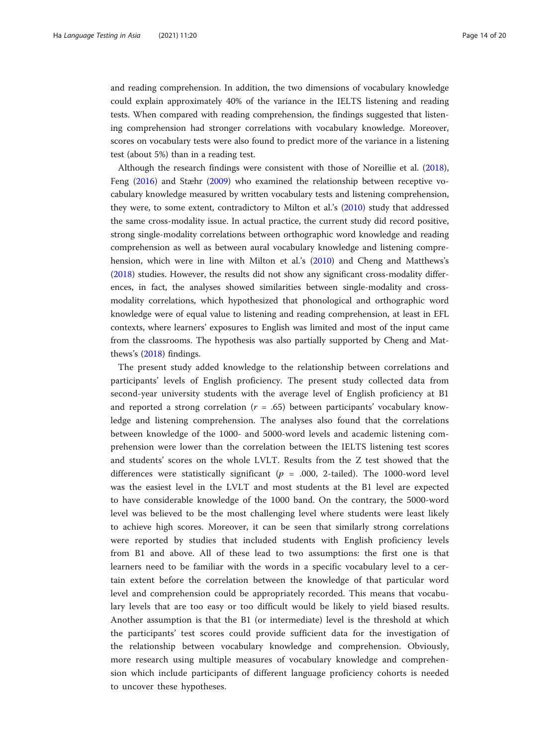and reading comprehension. In addition, the two dimensions of vocabulary knowledge could explain approximately 40% of the variance in the IELTS listening and reading tests. When compared with reading comprehension, the findings suggested that listening comprehension had stronger correlations with vocabulary knowledge. Moreover, scores on vocabulary tests were also found to predict more of the variance in a listening test (about 5%) than in a reading test.

Although the research findings were consistent with those of Noreillie et al. ([2018](#page-19-0)), Feng ([2016](#page-18-0)) and Stæhr ([2009\)](#page-19-0) who examined the relationship between receptive vocabulary knowledge measured by written vocabulary tests and listening comprehension, they were, to some extent, contradictory to Milton et al.'s [\(2010\)](#page-18-0) study that addressed the same cross-modality issue. In actual practice, the current study did record positive, strong single-modality correlations between orthographic word knowledge and reading comprehension as well as between aural vocabulary knowledge and listening comprehension, which were in line with Milton et al.'s [\(2010\)](#page-18-0) and Cheng and Matthews's ([2018](#page-18-0)) studies. However, the results did not show any significant cross-modality differences, in fact, the analyses showed similarities between single-modality and crossmodality correlations, which hypothesized that phonological and orthographic word knowledge were of equal value to listening and reading comprehension, at least in EFL contexts, where learners' exposures to English was limited and most of the input came from the classrooms. The hypothesis was also partially supported by Cheng and Matthews's ([2018\)](#page-18-0) findings.

The present study added knowledge to the relationship between correlations and participants' levels of English proficiency. The present study collected data from second-year university students with the average level of English proficiency at B1 and reported a strong correlation  $(r = .65)$  between participants' vocabulary knowledge and listening comprehension. The analyses also found that the correlations between knowledge of the 1000- and 5000-word levels and academic listening comprehension were lower than the correlation between the IELTS listening test scores and students' scores on the whole LVLT. Results from the Z test showed that the differences were statistically significant ( $p = .000$ , 2-tailed). The 1000-word level was the easiest level in the LVLT and most students at the B1 level are expected to have considerable knowledge of the 1000 band. On the contrary, the 5000-word level was believed to be the most challenging level where students were least likely to achieve high scores. Moreover, it can be seen that similarly strong correlations were reported by studies that included students with English proficiency levels from B1 and above. All of these lead to two assumptions: the first one is that learners need to be familiar with the words in a specific vocabulary level to a certain extent before the correlation between the knowledge of that particular word level and comprehension could be appropriately recorded. This means that vocabulary levels that are too easy or too difficult would be likely to yield biased results. Another assumption is that the B1 (or intermediate) level is the threshold at which the participants' test scores could provide sufficient data for the investigation of the relationship between vocabulary knowledge and comprehension. Obviously, more research using multiple measures of vocabulary knowledge and comprehension which include participants of different language proficiency cohorts is needed to uncover these hypotheses.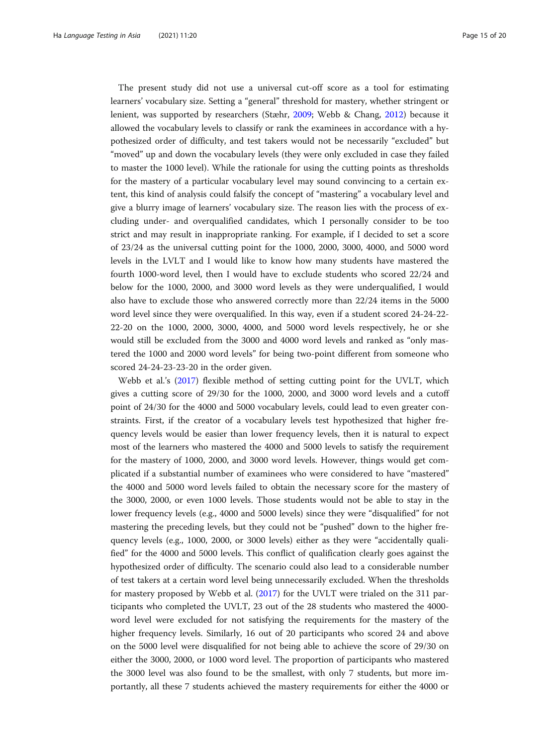The present study did not use a universal cut-off score as a tool for estimating learners' vocabulary size. Setting a "general" threshold for mastery, whether stringent or lenient, was supported by researchers (Stæhr, [2009;](#page-19-0) Webb & Chang, [2012](#page-19-0)) because it allowed the vocabulary levels to classify or rank the examinees in accordance with a hypothesized order of difficulty, and test takers would not be necessarily "excluded" but "moved" up and down the vocabulary levels (they were only excluded in case they failed to master the 1000 level). While the rationale for using the cutting points as thresholds for the mastery of a particular vocabulary level may sound convincing to a certain extent, this kind of analysis could falsify the concept of "mastering" a vocabulary level and give a blurry image of learners' vocabulary size. The reason lies with the process of excluding under- and overqualified candidates, which I personally consider to be too strict and may result in inappropriate ranking. For example, if I decided to set a score of 23/24 as the universal cutting point for the 1000, 2000, 3000, 4000, and 5000 word levels in the LVLT and I would like to know how many students have mastered the fourth 1000-word level, then I would have to exclude students who scored 22/24 and below for the 1000, 2000, and 3000 word levels as they were underqualified, I would also have to exclude those who answered correctly more than 22/24 items in the 5000 word level since they were overqualified. In this way, even if a student scored 24-24-22- 22-20 on the 1000, 2000, 3000, 4000, and 5000 word levels respectively, he or she would still be excluded from the 3000 and 4000 word levels and ranked as "only mastered the 1000 and 2000 word levels" for being two-point different from someone who scored 24-24-23-23-20 in the order given.

Webb et al.'s ([2017](#page-19-0)) flexible method of setting cutting point for the UVLT, which gives a cutting score of 29/30 for the 1000, 2000, and 3000 word levels and a cutoff point of 24/30 for the 4000 and 5000 vocabulary levels, could lead to even greater constraints. First, if the creator of a vocabulary levels test hypothesized that higher frequency levels would be easier than lower frequency levels, then it is natural to expect most of the learners who mastered the 4000 and 5000 levels to satisfy the requirement for the mastery of 1000, 2000, and 3000 word levels. However, things would get complicated if a substantial number of examinees who were considered to have "mastered" the 4000 and 5000 word levels failed to obtain the necessary score for the mastery of the 3000, 2000, or even 1000 levels. Those students would not be able to stay in the lower frequency levels (e.g., 4000 and 5000 levels) since they were "disqualified" for not mastering the preceding levels, but they could not be "pushed" down to the higher frequency levels (e.g., 1000, 2000, or 3000 levels) either as they were "accidentally qualified" for the 4000 and 5000 levels. This conflict of qualification clearly goes against the hypothesized order of difficulty. The scenario could also lead to a considerable number of test takers at a certain word level being unnecessarily excluded. When the thresholds for mastery proposed by Webb et al. [\(2017\)](#page-19-0) for the UVLT were trialed on the 311 participants who completed the UVLT, 23 out of the 28 students who mastered the 4000 word level were excluded for not satisfying the requirements for the mastery of the higher frequency levels. Similarly, 16 out of 20 participants who scored 24 and above on the 5000 level were disqualified for not being able to achieve the score of 29/30 on either the 3000, 2000, or 1000 word level. The proportion of participants who mastered the 3000 level was also found to be the smallest, with only 7 students, but more importantly, all these 7 students achieved the mastery requirements for either the 4000 or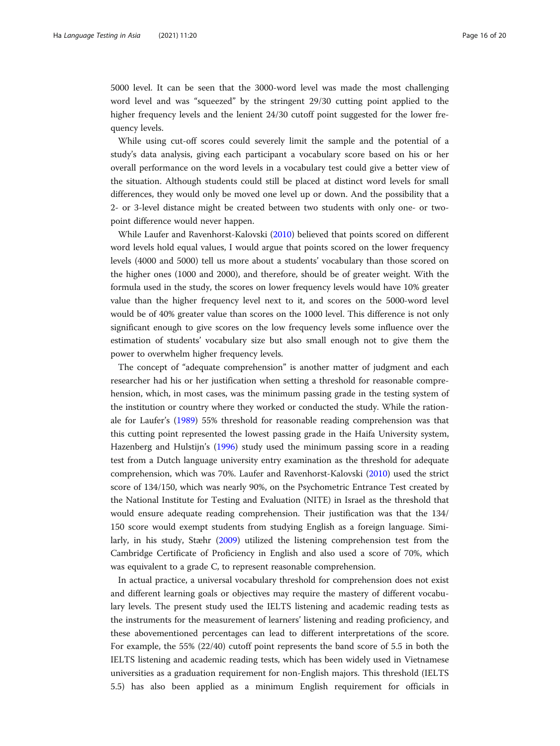5000 level. It can be seen that the 3000-word level was made the most challenging word level and was "squeezed" by the stringent 29/30 cutting point applied to the higher frequency levels and the lenient 24/30 cutoff point suggested for the lower frequency levels.

While using cut-off scores could severely limit the sample and the potential of a study's data analysis, giving each participant a vocabulary score based on his or her overall performance on the word levels in a vocabulary test could give a better view of the situation. Although students could still be placed at distinct word levels for small differences, they would only be moved one level up or down. And the possibility that a 2- or 3-level distance might be created between two students with only one- or twopoint difference would never happen.

While Laufer and Ravenhorst-Kalovski ([2010](#page-18-0)) believed that points scored on different word levels hold equal values, I would argue that points scored on the lower frequency levels (4000 and 5000) tell us more about a students' vocabulary than those scored on the higher ones (1000 and 2000), and therefore, should be of greater weight. With the formula used in the study, the scores on lower frequency levels would have 10% greater value than the higher frequency level next to it, and scores on the 5000-word level would be of 40% greater value than scores on the 1000 level. This difference is not only significant enough to give scores on the low frequency levels some influence over the estimation of students' vocabulary size but also small enough not to give them the power to overwhelm higher frequency levels.

The concept of "adequate comprehension" is another matter of judgment and each researcher had his or her justification when setting a threshold for reasonable comprehension, which, in most cases, was the minimum passing grade in the testing system of the institution or country where they worked or conducted the study. While the rationale for Laufer's ([1989](#page-18-0)) 55% threshold for reasonable reading comprehension was that this cutting point represented the lowest passing grade in the Haifa University system, Hazenberg and Hulstijn's ([1996](#page-18-0)) study used the minimum passing score in a reading test from a Dutch language university entry examination as the threshold for adequate comprehension, which was 70%. Laufer and Ravenhorst-Kalovski [\(2010](#page-18-0)) used the strict score of 134/150, which was nearly 90%, on the Psychometric Entrance Test created by the National Institute for Testing and Evaluation (NITE) in Israel as the threshold that would ensure adequate reading comprehension. Their justification was that the 134/ 150 score would exempt students from studying English as a foreign language. Similarly, in his study, Stæhr ([2009](#page-19-0)) utilized the listening comprehension test from the Cambridge Certificate of Proficiency in English and also used a score of 70%, which was equivalent to a grade C, to represent reasonable comprehension.

In actual practice, a universal vocabulary threshold for comprehension does not exist and different learning goals or objectives may require the mastery of different vocabulary levels. The present study used the IELTS listening and academic reading tests as the instruments for the measurement of learners' listening and reading proficiency, and these abovementioned percentages can lead to different interpretations of the score. For example, the 55% (22/40) cutoff point represents the band score of 5.5 in both the IELTS listening and academic reading tests, which has been widely used in Vietnamese universities as a graduation requirement for non-English majors. This threshold (IELTS 5.5) has also been applied as a minimum English requirement for officials in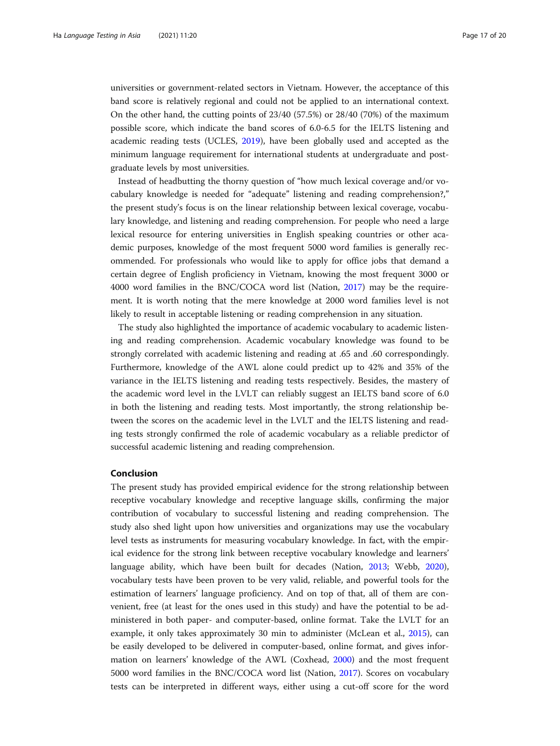universities or government-related sectors in Vietnam. However, the acceptance of this band score is relatively regional and could not be applied to an international context. On the other hand, the cutting points of 23/40 (57.5%) or 28/40 (70%) of the maximum possible score, which indicate the band scores of 6.0-6.5 for the IELTS listening and academic reading tests (UCLES, [2019\)](#page-19-0), have been globally used and accepted as the minimum language requirement for international students at undergraduate and postgraduate levels by most universities.

Instead of headbutting the thorny question of "how much lexical coverage and/or vocabulary knowledge is needed for "adequate" listening and reading comprehension?," the present study's focus is on the linear relationship between lexical coverage, vocabulary knowledge, and listening and reading comprehension. For people who need a large lexical resource for entering universities in English speaking countries or other academic purposes, knowledge of the most frequent 5000 word families is generally recommended. For professionals who would like to apply for office jobs that demand a certain degree of English proficiency in Vietnam, knowing the most frequent 3000 or 4000 word families in the BNC/COCA word list (Nation, [2017](#page-19-0)) may be the requirement. It is worth noting that the mere knowledge at 2000 word families level is not likely to result in acceptable listening or reading comprehension in any situation.

The study also highlighted the importance of academic vocabulary to academic listening and reading comprehension. Academic vocabulary knowledge was found to be strongly correlated with academic listening and reading at .65 and .60 correspondingly. Furthermore, knowledge of the AWL alone could predict up to 42% and 35% of the variance in the IELTS listening and reading tests respectively. Besides, the mastery of the academic word level in the LVLT can reliably suggest an IELTS band score of 6.0 in both the listening and reading tests. Most importantly, the strong relationship between the scores on the academic level in the LVLT and the IELTS listening and reading tests strongly confirmed the role of academic vocabulary as a reliable predictor of successful academic listening and reading comprehension.

## Conclusion

The present study has provided empirical evidence for the strong relationship between receptive vocabulary knowledge and receptive language skills, confirming the major contribution of vocabulary to successful listening and reading comprehension. The study also shed light upon how universities and organizations may use the vocabulary level tests as instruments for measuring vocabulary knowledge. In fact, with the empirical evidence for the strong link between receptive vocabulary knowledge and learners' language ability, which have been built for decades (Nation, [2013;](#page-19-0) Webb, [2020](#page-19-0)), vocabulary tests have been proven to be very valid, reliable, and powerful tools for the estimation of learners' language proficiency. And on top of that, all of them are convenient, free (at least for the ones used in this study) and have the potential to be administered in both paper- and computer-based, online format. Take the LVLT for an example, it only takes approximately 30 min to administer (McLean et al., [2015](#page-18-0)), can be easily developed to be delivered in computer-based, online format, and gives information on learners' knowledge of the AWL (Coxhead, [2000](#page-18-0)) and the most frequent 5000 word families in the BNC/COCA word list (Nation, [2017\)](#page-19-0). Scores on vocabulary tests can be interpreted in different ways, either using a cut-off score for the word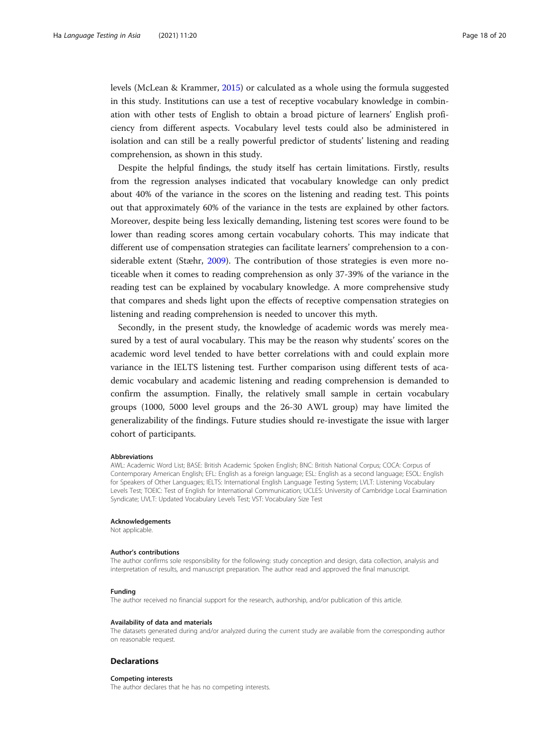levels (McLean & Krammer, [2015\)](#page-18-0) or calculated as a whole using the formula suggested in this study. Institutions can use a test of receptive vocabulary knowledge in combination with other tests of English to obtain a broad picture of learners' English proficiency from different aspects. Vocabulary level tests could also be administered in isolation and can still be a really powerful predictor of students' listening and reading comprehension, as shown in this study.

Despite the helpful findings, the study itself has certain limitations. Firstly, results from the regression analyses indicated that vocabulary knowledge can only predict about 40% of the variance in the scores on the listening and reading test. This points out that approximately 60% of the variance in the tests are explained by other factors. Moreover, despite being less lexically demanding, listening test scores were found to be lower than reading scores among certain vocabulary cohorts. This may indicate that different use of compensation strategies can facilitate learners' comprehension to a considerable extent (Stæhr, [2009](#page-19-0)). The contribution of those strategies is even more noticeable when it comes to reading comprehension as only 37-39% of the variance in the reading test can be explained by vocabulary knowledge. A more comprehensive study that compares and sheds light upon the effects of receptive compensation strategies on listening and reading comprehension is needed to uncover this myth.

Secondly, in the present study, the knowledge of academic words was merely measured by a test of aural vocabulary. This may be the reason why students' scores on the academic word level tended to have better correlations with and could explain more variance in the IELTS listening test. Further comparison using different tests of academic vocabulary and academic listening and reading comprehension is demanded to confirm the assumption. Finally, the relatively small sample in certain vocabulary groups (1000, 5000 level groups and the 26-30 AWL group) may have limited the generalizability of the findings. Future studies should re-investigate the issue with larger cohort of participants.

#### Abbreviations

AWL: Academic Word List; BASE: British Academic Spoken English; BNC: British National Corpus; COCA: Corpus of Contemporary American English; EFL: English as a foreign language; ESL: English as a second language; ESOL: English for Speakers of Other Languages; IELTS: International English Language Testing System; LVLT: Listening Vocabulary Levels Test; TOEIC: Test of English for International Communication; UCLES: University of Cambridge Local Examination Syndicate; UVLT: Updated Vocabulary Levels Test; VST: Vocabulary Size Test

## Acknowledgements

Not applicable.

#### Author's contributions

The author confirms sole responsibility for the following: study conception and design, data collection, analysis and interpretation of results, and manuscript preparation. The author read and approved the final manuscript.

#### Funding

The author received no financial support for the research, authorship, and/or publication of this article.

#### Availability of data and materials

The datasets generated during and/or analyzed during the current study are available from the corresponding author on reasonable request.

### **Declarations**

#### Competing interests

The author declares that he has no competing interests.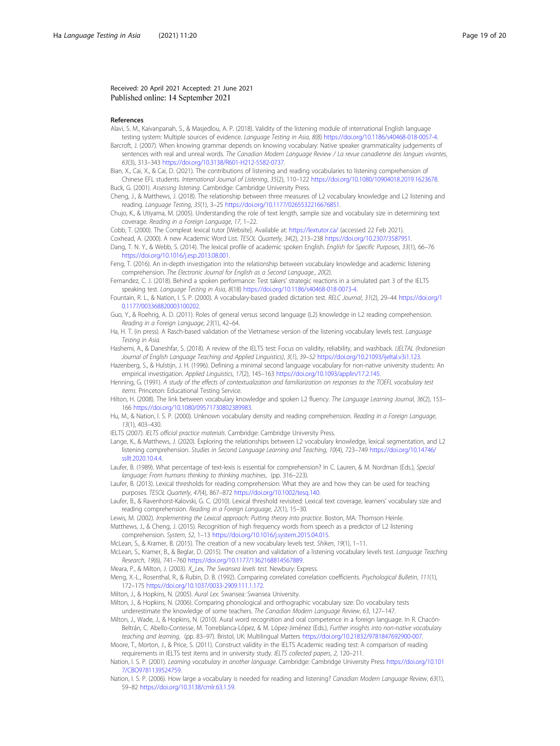## <span id="page-18-0"></span>Received: 20 April 2021 Accepted: 21 June 2021 Published online: 14 September 2021

#### References

- Alavi, S. M., Kaivanpanah, S., & Masjedlou, A. P. (2018). Validity of the listening module of international English language testing system: Multiple sources of evidence. Language Testing in Asia, 8(8) <https://doi.org/10.1186/s40468-018-0057-4>.
- Barcroft, J. (2007). When knowing grammar depends on knowing vocabulary: Native speaker grammaticality judgements of sentences with real and unreal words. The Canadian Modern Language Review / La revue canadienne des langues vivantes, 63(3), 313–343 <https://doi.org/10.3138/R601-H212-5582-0737>.
- Bian, X., Cai, X., & Cai, D. (2021). The contributions of listening and reading vocabularies to listening comprehension of Chinese EFL students. International Journal of Listening, 35(2), 110–122 <https://doi.org/10.1080/10904018.2019.1623678>. Buck, G. (2001). Assessing listening. Cambridge: Cambridge University Press.
- Cheng, J., & Matthews, J. (2018). The relationship between three measures of L2 vocabulary knowledge and L2 listening and reading. Language Testing, 35(1), 3–25 <https://doi.org/10.1177/0265532216676851>.
- Chujo, K., & Utiyama, M. (2005). Understanding the role of text length, sample size and vocabulary size in determining text coverage. Reading in a Foreign Language, 17, 1–22.
- Cobb, T. (2000). The Compleat lexical tutor [Website]. Available at: <https://lextutor.ca/> (accessed 22 Feb 2021).
- Coxhead, A. (2000). A new Academic Word List. TESOL Quarterly, 34(2), 213–238 [https://doi.org/10.2307/3587951.](https://doi.org/10.2307/3587951) Dang, T. N. Y., & Webb, S. (2014). The lexical profile of academic spoken English. English for Specific Purposes, 33(1), 66-76 [https://doi.org/10.1016/j.esp.2013.08.001.](https://doi.org/10.1016/j.esp.2013.08.001)
- Feng, T. (2016). An in-depth investigation into the relationship between vocabulary knowledge and academic listening comprehension. The Electronic Journal for English as a Second Language., 20(2).
- Fernandez, C. J. (2018). Behind a spoken performance: Test takers' strategic reactions in a simulated part 3 of the IELTS speaking test. Language Testing in Asia, 8(18) <https://doi.org/10.1186/s40468-018-0073-4>.
- Fountain, R. L., & Nation, I. S. P. (2000). A vocabulary-based graded dictation test. RELC Journal, 31(2), 29–44 [https://doi.org/1](https://doi.org/10.1177/003368820003100202) [0.1177/003368820003100202.](https://doi.org/10.1177/003368820003100202)
- Guo, Y., & Roehrig, A. D. (2011). Roles of general versus second language (L2) knowledge in L2 reading comprehension. Reading in a Foreign Language, 23(1), 42–64.
- Ha, H. T. (in press). A Rasch-based validation of the Vietnamese version of the listening vocabulary levels test. Language Testing in Asia.
- Hashemi, A., & Daneshfar, S. (2018). A review of the IELTS test: Focus on validity, reliability, and washback. *IJELTAL (Indonesian*) Journal of English Language Teaching and Applied Linguistics), 3(1), 39–52 <https://doi.org/10.21093/ijeltal.v3i1.123>.
- Hazenberg, S., & Hulstijn, J. H. (1996). Defining a minimal second language vocabulary for non-native university students: An empirical investigation. Applied Linguistics, 17(2), 145–163 <https://doi.org/10.1093/applin/17.2.145>.
- Henning, G. (1991). A study of the effects of contextualization and familiarization on responses to the TOEFL vocabulary test items. Princeton: Educational Testing Service.
- Hilton, H. (2008). The link between vocabulary knowledge and spoken L2 fluency. The Language Learning Journal, 36(2), 153– 166 <https://doi.org/10.1080/09571730802389983>.
- Hu, M., & Nation, I. S. P. (2000). Unknown vocabulary density and reading comprehension. Reading in a Foreign Language, 13(1), 403–430.
- IELTS (2007). IELTS official practice materials. Cambridge: Cambridge University Press.
- Lange, K., & Matthews, J. (2020). Exploring the relationships between L2 vocabulary knowledge, lexical segmentation, and L2 listening comprehension. Studies in Second Language Learning and Teaching, 10(4), 723–749 [https://doi.org/10.14746/](https://doi.org/10.14746/ssllt.2020.10.4.4) [ssllt.2020.10.4.4](https://doi.org/10.14746/ssllt.2020.10.4.4)
- Laufer, B. (1989). What percentage of text-lexis is essential for comprehension? In C. Lauren, & M. Nordman (Eds.), Special language: From humans thinking to thinking machines, (pp. 316–223).
- Laufer, B. (2013). Lexical thresholds for reading comprehension: What they are and how they can be used for teaching purposes. TESOL Quarterly, 47(4), 867–872 [https://doi.org/10.1002/tesq.140.](https://doi.org/10.1002/tesq.140)
- Laufer, B., & Ravenhorst-Kalovski, G. C. (2010). Lexical threshold revisited: Lexical text coverage, learners' vocabulary size and reading comprehension. Reading in a Foreign Language, 22(1), 15–30.
- Lewis, M. (2002). Implementing the Lexical approach: Putting theory into practice. Boston, MA: Thomson Heinle.
- Matthews, J., & Cheng, J. (2015). Recognition of high frequency words from speech as a predictor of L2 listening comprehension. System, 52, 1–13 [https://doi.org/10.1016/j.system.2015.04.015.](https://doi.org/10.1016/j.system.2015.04.015)
- McLean, S., & Kramer, B. (2015). The creation of a new vocabulary levels test. Shiken, 19(1), 1–11.
- McLean, S., Kramer, B., & Beglar, D. (2015). The creation and validation of a listening vocabulary levels test. Language Teaching Research, 19(6), 741–760 [https://doi.org/10.1177/1362168814567889.](https://doi.org/10.1177/1362168814567889)
- Meara, P., & Milton, J. (2003). X\_Lex, The Swansea levels test. Newbury: Express.
- Meng, X.-L., Rosenthal, R., & Rubin, D. B. (1992). Comparing correlated correlation coefficients. Psychological Bulletin, 111(1), 172–175 [https://doi.org/10.1037/0033-2909.111.1.172.](https://doi.org/10.1037/0033-2909.111.1.172)
- Milton, J., & Hopkins, N. (2005). Aural Lex. Swansea: Swansea University.
- Milton, J., & Hopkins, N. (2006). Comparing phonological and orthographic vocabulary size: Do vocabulary tests underestimate the knowledge of some teachers. The Canadian Modern Language Review, 63, 127–147.
- Milton, J., Wade, J., & Hopkins, N. (2010). Aural word recognition and oral competence in a foreign language. In R. Chacón-Beltrán, C. Abello-Contesse, M. Torreblanca-López, & M. López-Jiménez (Eds.), Further insights into non-native vocabulary teaching and learning, (pp. 83–97). Bristol, UK: Multilingual Matters <https://doi.org/10.21832/9781847692900-007>.
- Moore, T., Morton, J., & Price, S. (2011). Construct validity in the IELTS Academic reading test: A comparison of reading requirements in IELTS test items and in university study. IELTS collected papers, 2, 120–211.
- Nation, I. S. P. (2001). Learning vocabulary in another language. Cambridge: Cambridge University Press [https://doi.org/10.101](https://doi.org/10.1017/CBO9781139524759) [7/CBO9781139524759](https://doi.org/10.1017/CBO9781139524759).
- Nation, I. S. P. (2006). How large a vocabulary is needed for reading and listening? Canadian Modern Language Review, 63(1), 59–82 <https://doi.org/10.3138/cmlr.63.1.59>.